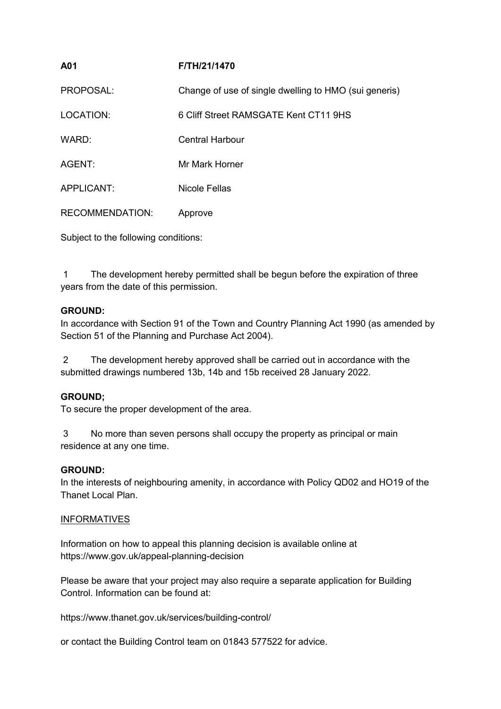| A01                    | F/TH/21/1470                                          |
|------------------------|-------------------------------------------------------|
| PROPOSAL:              | Change of use of single dwelling to HMO (sui generis) |
| LOCATION:              | 6 Cliff Street RAMSGATE Kent CT11 9HS                 |
| WARD:                  | Central Harbour                                       |
| AGENT:                 | Mr Mark Horner                                        |
| APPLICANT:             | Nicole Fellas                                         |
| <b>RECOMMENDATION:</b> | Approve                                               |

Subject to the following conditions:

1 The development hereby permitted shall be begun before the expiration of three years from the date of this permission.

#### **GROUND:**

In accordance with Section 91 of the Town and Country Planning Act 1990 (as amended by Section 51 of the Planning and Purchase Act 2004).

2 The development hereby approved shall be carried out in accordance with the submitted drawings numbered 13b, 14b and 15b received 28 January 2022.

# **GROUND;**

To secure the proper development of the area.

3 No more than seven persons shall occupy the property as principal or main residence at any one time.

#### **GROUND:**

In the interests of neighbouring amenity, in accordance with Policy QD02 and HO19 of the Thanet Local Plan.

#### **INFORMATIVES**

Information on how to appeal this planning decision is available online at https://www.gov.uk/appeal-planning-decision

Please be aware that your project may also require a separate application for Building Control. Information can be found at:

https://www.thanet.gov.uk/services/building-control/

or contact the Building Control team on 01843 577522 for advice.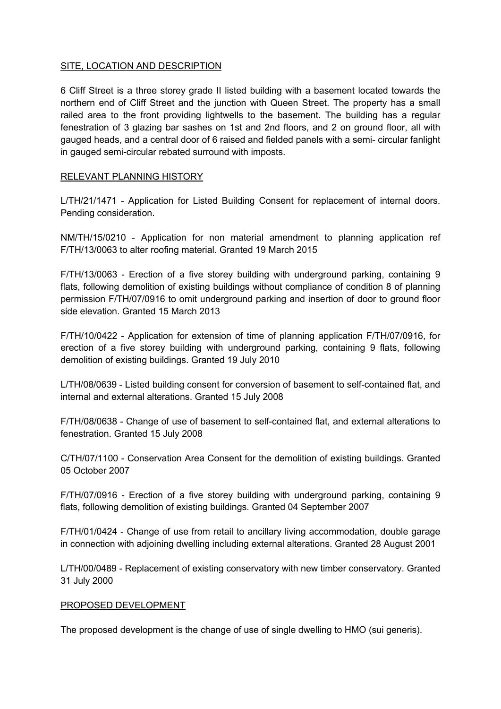### SITE, LOCATION AND DESCRIPTION

6 Cliff Street is a three storey grade II listed building with a basement located towards the northern end of Cliff Street and the junction with Queen Street. The property has a small railed area to the front providing lightwells to the basement. The building has a regular fenestration of 3 glazing bar sashes on 1st and 2nd floors, and 2 on ground floor, all with gauged heads, and a central door of 6 raised and fielded panels with a semi- circular fanlight in gauged semi-circular rebated surround with imposts.

## RELEVANT PLANNING HISTORY

L/TH/21/1471 - Application for Listed Building Consent for replacement of internal doors. Pending consideration.

NM/TH/15/0210 - Application for non material amendment to planning application ref F/TH/13/0063 to alter roofing material. Granted 19 March 2015

F/TH/13/0063 - Erection of a five storey building with underground parking, containing 9 flats, following demolition of existing buildings without compliance of condition 8 of planning permission F/TH/07/0916 to omit underground parking and insertion of door to ground floor side elevation. Granted 15 March 2013

F/TH/10/0422 - Application for extension of time of planning application F/TH/07/0916, for erection of a five storey building with underground parking, containing 9 flats, following demolition of existing buildings. Granted 19 July 2010

L/TH/08/0639 - Listed building consent for conversion of basement to self-contained flat, and internal and external alterations. Granted 15 July 2008

F/TH/08/0638 - Change of use of basement to self-contained flat, and external alterations to fenestration. Granted 15 July 2008

C/TH/07/1100 - Conservation Area Consent for the demolition of existing buildings. Granted 05 October 2007

F/TH/07/0916 - Erection of a five storey building with underground parking, containing 9 flats, following demolition of existing buildings. Granted 04 September 2007

F/TH/01/0424 - Change of use from retail to ancillary living accommodation, double garage in connection with adjoining dwelling including external alterations. Granted 28 August 2001

L/TH/00/0489 - Replacement of existing conservatory with new timber conservatory. Granted 31 July 2000

#### PROPOSED DEVELOPMENT

The proposed development is the change of use of single dwelling to HMO (sui generis).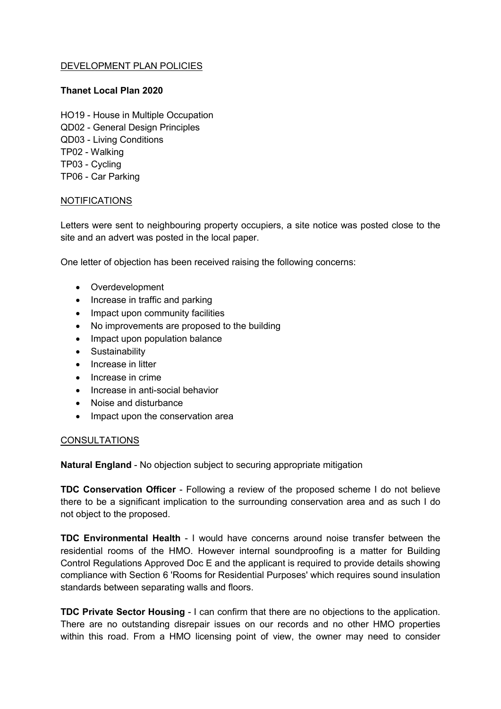## DEVELOPMENT PLAN POLICIES

### **Thanet Local Plan 2020**

HO19 - House in Multiple Occupation QD02 - General Design Principles QD03 - Living Conditions TP02 - Walking TP03 - Cycling TP06 - Car Parking

#### NOTIFICATIONS

Letters were sent to neighbouring property occupiers, a site notice was posted close to the site and an advert was posted in the local paper.

One letter of objection has been received raising the following concerns:

- Overdevelopment
- Increase in traffic and parking
- Impact upon community facilities
- No improvements are proposed to the building
- Impact upon population balance
- **•** Sustainability
- Increase in litter
- Increase in crime
- Increase in anti-social behavior
- Noise and disturbance
- Impact upon the conservation area

#### **CONSULTATIONS**

**Natural England** - No objection subject to securing appropriate mitigation

**TDC Conservation Officer** - Following a review of the proposed scheme I do not believe there to be a significant implication to the surrounding conservation area and as such I do not object to the proposed.

**TDC Environmental Health** - I would have concerns around noise transfer between the residential rooms of the HMO. However internal soundproofing is a matter for Building Control Regulations Approved Doc E and the applicant is required to provide details showing compliance with Section 6 'Rooms for Residential Purposes' which requires sound insulation standards between separating walls and floors.

**TDC Private Sector Housing** - I can confirm that there are no objections to the application. There are no outstanding disrepair issues on our records and no other HMO properties within this road. From a HMO licensing point of view, the owner may need to consider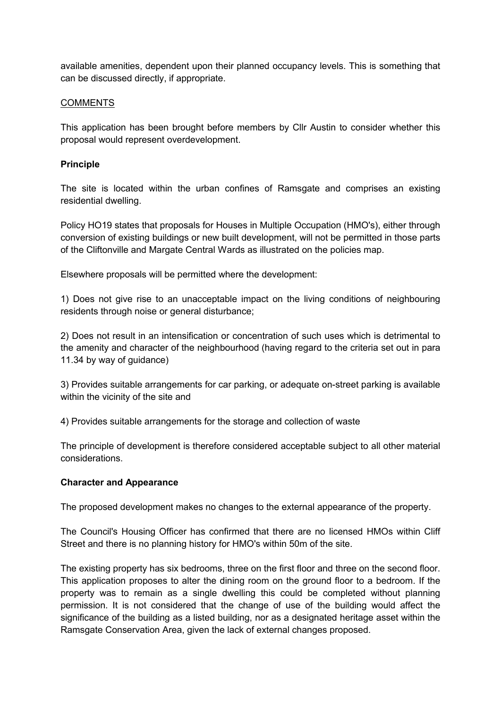available amenities, dependent upon their planned occupancy levels. This is something that can be discussed directly, if appropriate.

#### COMMENTS

This application has been brought before members by Cllr Austin to consider whether this proposal would represent overdevelopment.

#### **Principle**

The site is located within the urban confines of Ramsgate and comprises an existing residential dwelling.

Policy HO19 states that proposals for Houses in Multiple Occupation (HMO's), either through conversion of existing buildings or new built development, will not be permitted in those parts of the Cliftonville and Margate Central Wards as illustrated on the policies map.

Elsewhere proposals will be permitted where the development:

1) Does not give rise to an unacceptable impact on the living conditions of neighbouring residents through noise or general disturbance;

2) Does not result in an intensification or concentration of such uses which is detrimental to the amenity and character of the neighbourhood (having regard to the criteria set out in para 11.34 by way of guidance)

3) Provides suitable arrangements for car parking, or adequate on-street parking is available within the vicinity of the site and

4) Provides suitable arrangements for the storage and collection of waste

The principle of development is therefore considered acceptable subject to all other material considerations.

#### **Character and Appearance**

The proposed development makes no changes to the external appearance of the property.

The Council's Housing Officer has confirmed that there are no licensed HMOs within Cliff Street and there is no planning history for HMO's within 50m of the site.

The existing property has six bedrooms, three on the first floor and three on the second floor. This application proposes to alter the dining room on the ground floor to a bedroom. If the property was to remain as a single dwelling this could be completed without planning permission. It is not considered that the change of use of the building would affect the significance of the building as a listed building, nor as a designated heritage asset within the Ramsgate Conservation Area, given the lack of external changes proposed.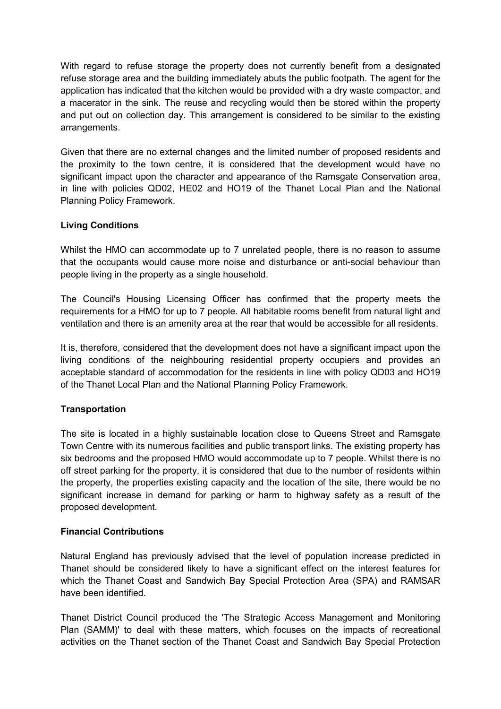With regard to refuse storage the property does not currently benefit from a designated refuse storage area and the building immediately abuts the public footpath. The agent for the application has indicated that the kitchen would be provided with a dry waste compactor, and a macerator in the sink. The reuse and recycling would then be stored within the property and put out on collection day. This arrangement is considered to be similar to the existing arrangements.

Given that there are no external changes and the limited number of proposed residents and the proximity to the town centre, it is considered that the development would have no significant impact upon the character and appearance of the Ramsgate Conservation area, in line with policies QD02, HE02 and HO19 of the Thanet Local Plan and the National Planning Policy Framework.

# **Living Conditions**

Whilst the HMO can accommodate up to 7 unrelated people, there is no reason to assume that the occupants would cause more noise and disturbance or anti-social behaviour than people living in the property as a single household.

The Council's Housing Licensing Officer has confirmed that the property meets the requirements for a HMO for up to 7 people. All habitable rooms benefit from natural light and ventilation and there is an amenity area at the rear that would be accessible for all residents.

It is, therefore, considered that the development does not have a significant impact upon the living conditions of the neighbouring residential property occupiers and provides an acceptable standard of accommodation for the residents in line with policy QD03 and HO19 of the Thanet Local Plan and the National Planning Policy Framework.

# **Transportation**

The site is located in a highly sustainable location close to Queens Street and Ramsgate Town Centre with its numerous facilities and public transport links. The existing property has six bedrooms and the proposed HMO would accommodate up to 7 people. Whilst there is no off street parking for the property, it is considered that due to the number of residents within the property, the properties existing capacity and the location of the site, there would be no significant increase in demand for parking or harm to highway safety as a result of the proposed development.

#### **Financial Contributions**

Natural England has previously advised that the level of population increase predicted in Thanet should be considered likely to have a significant effect on the interest features for which the Thanet Coast and Sandwich Bay Special Protection Area (SPA) and RAMSAR have been identified.

Thanet District Council produced the 'The Strategic Access Management and Monitoring Plan (SAMM)' to deal with these matters, which focuses on the impacts of recreational activities on the Thanet section of the Thanet Coast and Sandwich Bay Special Protection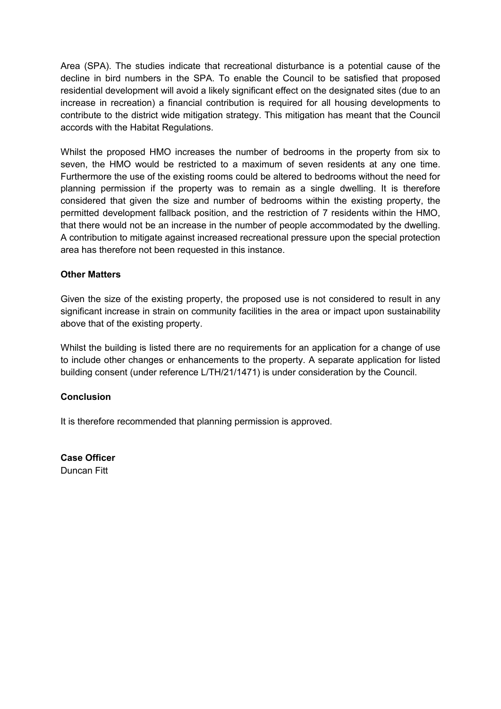Area (SPA). The studies indicate that recreational disturbance is a potential cause of the decline in bird numbers in the SPA. To enable the Council to be satisfied that proposed residential development will avoid a likely significant effect on the designated sites (due to an increase in recreation) a financial contribution is required for all housing developments to contribute to the district wide mitigation strategy. This mitigation has meant that the Council accords with the Habitat Regulations.

Whilst the proposed HMO increases the number of bedrooms in the property from six to seven, the HMO would be restricted to a maximum of seven residents at any one time. Furthermore the use of the existing rooms could be altered to bedrooms without the need for planning permission if the property was to remain as a single dwelling. It is therefore considered that given the size and number of bedrooms within the existing property, the permitted development fallback position, and the restriction of 7 residents within the HMO, that there would not be an increase in the number of people accommodated by the dwelling. A contribution to mitigate against increased recreational pressure upon the special protection area has therefore not been requested in this instance.

## **Other Matters**

Given the size of the existing property, the proposed use is not considered to result in any significant increase in strain on community facilities in the area or impact upon sustainability above that of the existing property.

Whilst the building is listed there are no requirements for an application for a change of use to include other changes or enhancements to the property. A separate application for listed building consent (under reference L/TH/21/1471) is under consideration by the Council.

#### **Conclusion**

It is therefore recommended that planning permission is approved.

**Case Officer** Duncan Fitt